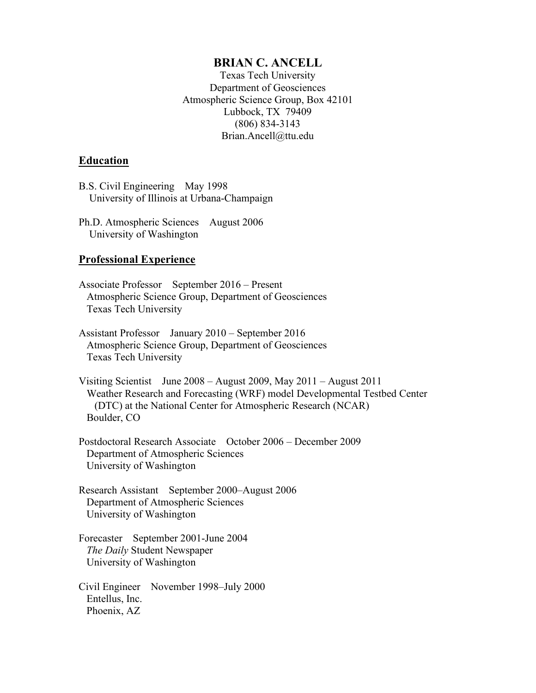## **BRIAN C. ANCELL**

Texas Tech University Department of Geosciences Atmospheric Science Group, Box 42101 Lubbock, TX 79409 (806) 834-3143 Brian.Ancell@ttu.edu

### **Education**

B.S. Civil Engineering May 1998 University of Illinois at Urbana-Champaign

Ph.D. Atmospheric Sciences August 2006 University of Washington

#### **Professional Experience**

- Associate Professor September 2016 Present Atmospheric Science Group, Department of Geosciences Texas Tech University
- Assistant Professor January 2010 September 2016 Atmospheric Science Group, Department of Geosciences Texas Tech University
- Visiting Scientist June 2008 August 2009, May 2011 August 2011 Weather Research and Forecasting (WRF) model Developmental Testbed Center (DTC) at the National Center for Atmospheric Research (NCAR) Boulder, CO
- Postdoctoral Research Associate October 2006 December 2009 Department of Atmospheric Sciences University of Washington
- Research Assistant September 2000–August 2006 Department of Atmospheric Sciences University of Washington
- Forecaster September 2001-June 2004 *The Daily* Student Newspaper University of Washington

Civil Engineer November 1998–July 2000 Entellus, Inc. Phoenix, AZ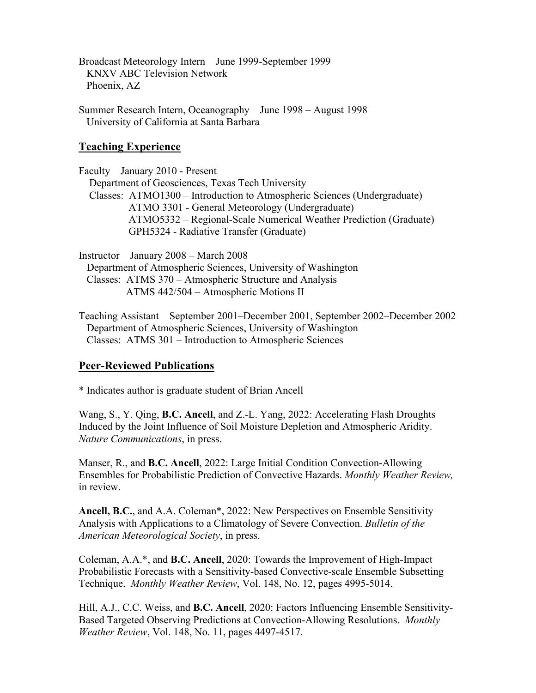Broadcast Meteorology Intern June 1999-September 1999 KNXV ABC Television Network Phoenix, AZ

Summer Research Intern, Oceanography June 1998 – August 1998 University of California at Santa Barbara

## **Teaching Experience**

Faculty January 2010 - Present Department of Geosciences, Texas Tech University Classes: ATMO1300 – Introduction to Atmospheric Sciences (Undergraduate) ATMO 3301 - General Meteorology (Undergraduate) ATMO5332 – Regional-Scale Numerical Weather Prediction (Graduate) GPH5324 - Radiative Transfer (Graduate)

Instructor January 2008 – March 2008 Department of Atmospheric Sciences, University of Washington Classes: ATMS 370 – Atmospheric Structure and Analysis ATMS 442/504 – Atmospheric Motions II

Teaching Assistant September 2001–December 2001, September 2002–December 2002 Department of Atmospheric Sciences, University of Washington Classes: ATMS 301 – Introduction to Atmospheric Sciences

# **Peer-Reviewed Publications**

\* Indicates author is graduate student of Brian Ancell

Wang, S., Y. Qing, **B.C. Ancell**, and Z.-L. Yang, 2022: Accelerating Flash Droughts Induced by the Joint Influence of Soil Moisture Depletion and Atmospheric Aridity. *Nature Communications*, in press.

Manser, R., and **B.C. Ancell**, 2022: Large Initial Condition Convection-Allowing Ensembles for Probabilistic Prediction of Convective Hazards. *Monthly Weather Review,*  in review.

**Ancell, B.C.**, and A.A. Coleman\*, 2022: New Perspectives on Ensemble Sensitivity Analysis with Applications to a Climatology of Severe Convection. *Bulletin of the American Meteorological Society*, in press.

Coleman, A.A.\*, and **B.C. Ancell**, 2020: Towards the Improvement of High-Impact Probabilistic Forecasts with a Sensitivity-based Convective-scale Ensemble Subsetting Technique. *Monthly Weather Review*, Vol. 148, No. 12, pages 4995-5014.

Hill, A.J., C.C. Weiss, and **B.C. Ancell**, 2020: Factors Influencing Ensemble Sensitivity-Based Targeted Observing Predictions at Convection-Allowing Resolutions. *Monthly Weather Review*, Vol. 148, No. 11, pages 4497-4517.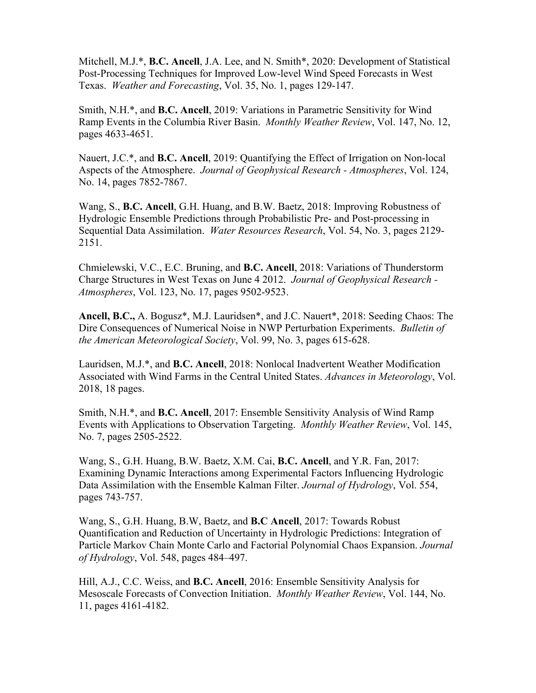Mitchell, M.J.\*, **B.C. Ancell**, J.A. Lee, and N. Smith\*, 2020: Development of Statistical Post-Processing Techniques for Improved Low-level Wind Speed Forecasts in West Texas. *Weather and Forecasting*, Vol. 35, No. 1, pages 129-147.

Smith, N.H.\*, and **B.C. Ancell**, 2019: Variations in Parametric Sensitivity for Wind Ramp Events in the Columbia River Basin. *Monthly Weather Review*, Vol. 147, No. 12, pages 4633-4651.

Nauert, J.C.\*, and **B.C. Ancell**, 2019: Quantifying the Effect of Irrigation on Non-local Aspects of the Atmosphere. *Journal of Geophysical Research - Atmospheres*, Vol. 124, No. 14, pages 7852-7867.

Wang, S., **B.C. Ancell**, G.H. Huang, and B.W. Baetz, 2018: Improving Robustness of Hydrologic Ensemble Predictions through Probabilistic Pre- and Post-processing in Sequential Data Assimilation. *Water Resources Research*, Vol. 54, No. 3, pages 2129- 2151.

Chmielewski, V.C., E.C. Bruning, and **B.C. Ancell**, 2018: Variations of Thunderstorm Charge Structures in West Texas on June 4 2012. *Journal of Geophysical Research - Atmospheres*, Vol. 123, No. 17, pages 9502-9523.

**Ancell, B.C.,** A. Bogusz\*, M.J. Lauridsen\*, and J.C. Nauert\*, 2018: Seeding Chaos: The Dire Consequences of Numerical Noise in NWP Perturbation Experiments. *Bulletin of the American Meteorological Society*, Vol. 99, No. 3, pages 615-628.

Lauridsen, M.J.\*, and **B.C. Ancell**, 2018: Nonlocal Inadvertent Weather Modification Associated with Wind Farms in the Central United States. *Advances in Meteorology*, Vol. 2018, 18 pages.

Smith, N.H.\*, and **B.C. Ancell**, 2017: Ensemble Sensitivity Analysis of Wind Ramp Events with Applications to Observation Targeting. *Monthly Weather Review*, Vol. 145, No. 7, pages 2505-2522.

Wang, S., G.H. Huang, B.W. Baetz, X.M. Cai, **B.C. Ancell**, and Y.R. Fan, 2017: Examining Dynamic Interactions among Experimental Factors Influencing Hydrologic Data Assimilation with the Ensemble Kalman Filter. *Journal of Hydrology*, Vol. 554, pages 743-757.

Wang, S., G.H. Huang, B.W, Baetz, and **B.C Ancell**, 2017: Towards Robust Quantification and Reduction of Uncertainty in Hydrologic Predictions: Integration of Particle Markov Chain Monte Carlo and Factorial Polynomial Chaos Expansion. *Journal of Hydrology*, Vol. 548, pages 484–497.

Hill, A.J., C.C. Weiss, and **B.C. Ancell**, 2016: Ensemble Sensitivity Analysis for Mesoscale Forecasts of Convection Initiation. *Monthly Weather Review*, Vol. 144, No. 11, pages 4161-4182.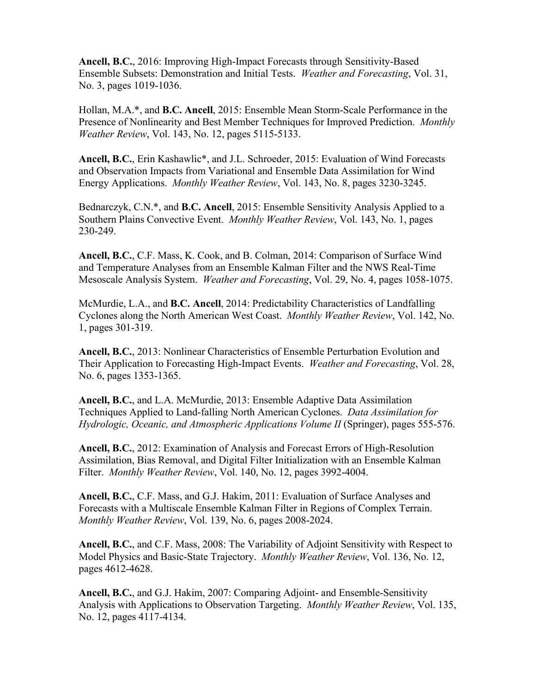**Ancell, B.C.**, 2016: Improving High-Impact Forecasts through Sensitivity-Based Ensemble Subsets: Demonstration and Initial Tests. *Weather and Forecasting*, Vol. 31, No. 3, pages 1019-1036.

Hollan, M.A.\*, and **B.C. Ancell**, 2015: Ensemble Mean Storm-Scale Performance in the Presence of Nonlinearity and Best Member Techniques for Improved Prediction. *Monthly Weather Review*, Vol. 143, No. 12, pages 5115-5133.

**Ancell, B.C.**, Erin Kashawlic\*, and J.L. Schroeder, 2015: Evaluation of Wind Forecasts and Observation Impacts from Variational and Ensemble Data Assimilation for Wind Energy Applications. *Monthly Weather Review*, Vol. 143, No. 8, pages 3230-3245.

Bednarczyk, C.N.\*, and **B.C. Ancell**, 2015: Ensemble Sensitivity Analysis Applied to a Southern Plains Convective Event. *Monthly Weather Review*, Vol. 143, No. 1, pages 230-249.

**Ancell, B.C.**, C.F. Mass, K. Cook, and B. Colman, 2014: Comparison of Surface Wind and Temperature Analyses from an Ensemble Kalman Filter and the NWS Real-Time Mesoscale Analysis System. *Weather and Forecasting*, Vol. 29, No. 4, pages 1058-1075.

McMurdie, L.A., and **B.C. Ancell**, 2014: Predictability Characteristics of Landfalling Cyclones along the North American West Coast. *Monthly Weather Review*, Vol. 142, No. 1, pages 301-319.

**Ancell, B.C.**, 2013: Nonlinear Characteristics of Ensemble Perturbation Evolution and Their Application to Forecasting High-Impact Events. *Weather and Forecasting*, Vol. 28, No. 6, pages 1353-1365.

**Ancell, B.C.**, and L.A. McMurdie, 2013: Ensemble Adaptive Data Assimilation Techniques Applied to Land-falling North American Cyclones. *Data Assimilation for Hydrologic, Oceanic, and Atmospheric Applications Volume II* (Springer), pages 555-576.

**Ancell, B.C.**, 2012: Examination of Analysis and Forecast Errors of High-Resolution Assimilation, Bias Removal, and Digital Filter Initialization with an Ensemble Kalman Filter. *Monthly Weather Review*, Vol. 140, No. 12, pages 3992-4004.

**Ancell, B.C.**, C.F. Mass, and G.J. Hakim, 2011: Evaluation of Surface Analyses and Forecasts with a Multiscale Ensemble Kalman Filter in Regions of Complex Terrain. *Monthly Weather Review*, Vol. 139, No. 6, pages 2008-2024.

**Ancell, B.C.**, and C.F. Mass, 2008: The Variability of Adjoint Sensitivity with Respect to Model Physics and Basic-State Trajectory. *Monthly Weather Review*, Vol. 136, No. 12, pages 4612-4628.

**Ancell, B.C.**, and G.J. Hakim, 2007: Comparing Adjoint- and Ensemble-Sensitivity Analysis with Applications to Observation Targeting. *Monthly Weather Review*, Vol. 135, No. 12, pages 4117-4134.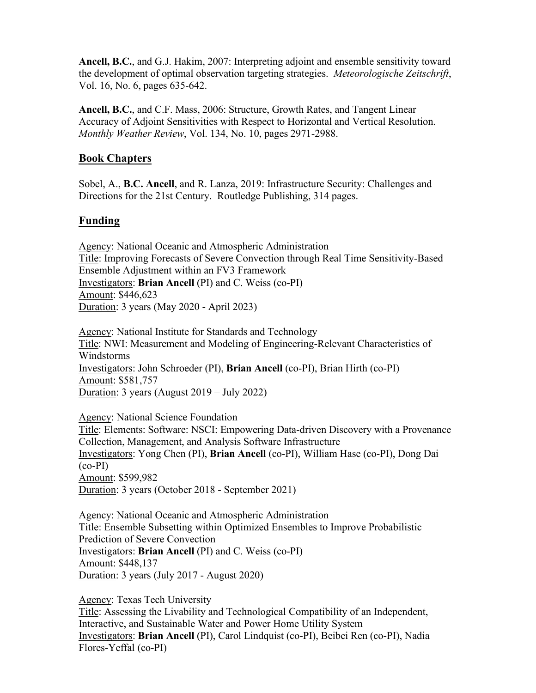**Ancell, B.C.**, and G.J. Hakim, 2007: Interpreting adjoint and ensemble sensitivity toward the development of optimal observation targeting strategies. *Meteorologische Zeitschrift*, Vol. 16, No. 6, pages 635-642.

**Ancell, B.C.**, and C.F. Mass, 2006: Structure, Growth Rates, and Tangent Linear Accuracy of Adjoint Sensitivities with Respect to Horizontal and Vertical Resolution. *Monthly Weather Review*, Vol. 134, No. 10, pages 2971-2988.

## **Book Chapters**

Sobel, A., **B.C. Ancell**, and R. Lanza, 2019: Infrastructure Security: Challenges and Directions for the 21st Century. Routledge Publishing, 314 pages.

# **Funding**

Agency: National Oceanic and Atmospheric Administration Title: Improving Forecasts of Severe Convection through Real Time Sensitivity-Based Ensemble Adjustment within an FV3 Framework Investigators: **Brian Ancell** (PI) and C. Weiss (co-PI) Amount: \$446,623 Duration: 3 years (May 2020 - April 2023)

Agency: National Institute for Standards and Technology Title: NWI: Measurement and Modeling of Engineering-Relevant Characteristics of Windstorms Investigators: John Schroeder (PI), **Brian Ancell** (co-PI), Brian Hirth (co-PI) Amount: \$581,757 Duration: 3 years (August 2019 – July 2022)

Agency: National Science Foundation Title: Elements: Software: NSCI: Empowering Data-driven Discovery with a Provenance Collection, Management, and Analysis Software Infrastructure Investigators: Yong Chen (PI), **Brian Ancell** (co-PI), William Hase (co-PI), Dong Dai (co-PI) Amount: \$599,982 Duration: 3 years (October 2018 - September 2021)

Agency: National Oceanic and Atmospheric Administration Title: Ensemble Subsetting within Optimized Ensembles to Improve Probabilistic Prediction of Severe Convection Investigators: **Brian Ancell** (PI) and C. Weiss (co-PI) Amount: \$448,137 Duration: 3 years (July 2017 - August 2020)

Agency: Texas Tech University

Title: Assessing the Livability and Technological Compatibility of an Independent, Interactive, and Sustainable Water and Power Home Utility System Investigators: **Brian Ancell** (PI), Carol Lindquist (co-PI), Beibei Ren (co-PI), Nadia Flores-Yeffal (co-PI)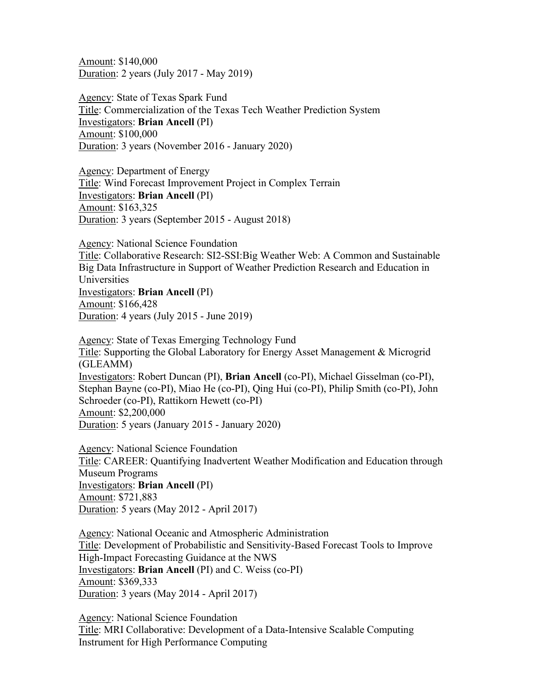Amount: \$140,000 Duration: 2 years (July 2017 - May 2019)

Agency: State of Texas Spark Fund Title: Commercialization of the Texas Tech Weather Prediction System Investigators: **Brian Ancell** (PI) Amount: \$100,000 Duration: 3 years (November 2016 - January 2020)

Agency: Department of Energy Title: Wind Forecast Improvement Project in Complex Terrain Investigators: **Brian Ancell** (PI) Amount: \$163,325 Duration: 3 years (September 2015 - August 2018)

Agency: National Science Foundation

Title: Collaborative Research: SI2-SSI:Big Weather Web: A Common and Sustainable Big Data Infrastructure in Support of Weather Prediction Research and Education in Universities Investigators: **Brian Ancell** (PI) Amount: \$166,428 Duration: 4 years (July 2015 - June 2019)

Agency: State of Texas Emerging Technology Fund Title: Supporting the Global Laboratory for Energy Asset Management & Microgrid (GLEAMM) Investigators: Robert Duncan (PI), **Brian Ancell** (co-PI), Michael Gisselman (co-PI), Stephan Bayne (co-PI), Miao He (co-PI), Qing Hui (co-PI), Philip Smith (co-PI), John Schroeder (co-PI), Rattikorn Hewett (co-PI) Amount: \$2,200,000 Duration: 5 years (January 2015 - January 2020)

Agency: National Science Foundation Title: CAREER: Quantifying Inadvertent Weather Modification and Education through Museum Programs Investigators: **Brian Ancell** (PI) Amount: \$721,883 Duration: 5 years (May 2012 - April 2017)

Agency: National Oceanic and Atmospheric Administration Title: Development of Probabilistic and Sensitivity-Based Forecast Tools to Improve High-Impact Forecasting Guidance at the NWS Investigators: **Brian Ancell** (PI) and C. Weiss (co-PI) Amount: \$369,333 Duration: 3 years (May 2014 - April 2017)

Agency: National Science Foundation Title: MRI Collaborative: Development of a Data-Intensive Scalable Computing Instrument for High Performance Computing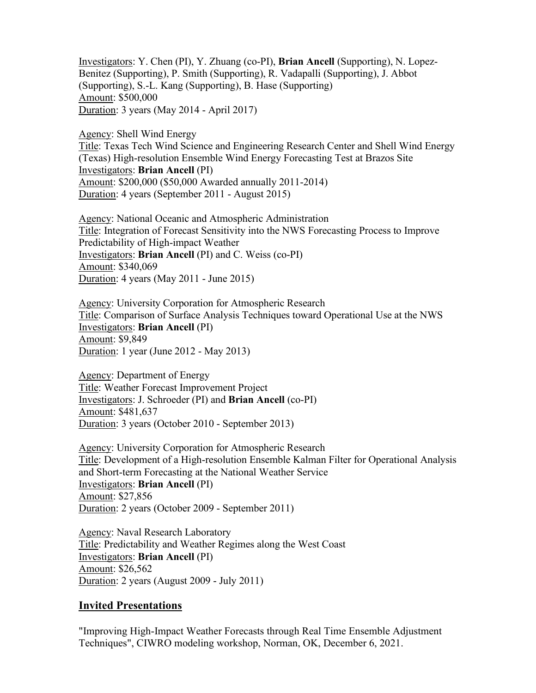Investigators: Y. Chen (PI), Y. Zhuang (co-PI), **Brian Ancell** (Supporting), N. Lopez-Benitez (Supporting), P. Smith (Supporting), R. Vadapalli (Supporting), J. Abbot (Supporting), S.-L. Kang (Supporting), B. Hase (Supporting) Amount: \$500,000 Duration: 3 years (May 2014 - April 2017)

Agency: Shell Wind Energy

Title: Texas Tech Wind Science and Engineering Research Center and Shell Wind Energy (Texas) High-resolution Ensemble Wind Energy Forecasting Test at Brazos Site Investigators: **Brian Ancell** (PI) Amount: \$200,000 (\$50,000 Awarded annually 2011-2014) Duration: 4 years (September 2011 - August 2015)

Agency: National Oceanic and Atmospheric Administration Title: Integration of Forecast Sensitivity into the NWS Forecasting Process to Improve Predictability of High-impact Weather Investigators: **Brian Ancell** (PI) and C. Weiss (co-PI) Amount: \$340,069 Duration: 4 years (May 2011 - June 2015)

Agency: University Corporation for Atmospheric Research Title: Comparison of Surface Analysis Techniques toward Operational Use at the NWS Investigators: **Brian Ancell** (PI) Amount: \$9,849 Duration: 1 year (June 2012 - May 2013)

Agency: Department of Energy Title: Weather Forecast Improvement Project Investigators: J. Schroeder (PI) and **Brian Ancell** (co-PI) Amount: \$481,637 Duration: 3 years (October 2010 - September 2013)

Agency: University Corporation for Atmospheric Research Title: Development of a High-resolution Ensemble Kalman Filter for Operational Analysis and Short-term Forecasting at the National Weather Service Investigators: **Brian Ancell** (PI) Amount: \$27,856 Duration: 2 years (October 2009 - September 2011)

Agency: Naval Research Laboratory Title: Predictability and Weather Regimes along the West Coast Investigators: **Brian Ancell** (PI) Amount: \$26,562 Duration: 2 years (August 2009 - July 2011)

## **Invited Presentations**

"Improving High-Impact Weather Forecasts through Real Time Ensemble Adjustment Techniques", CIWRO modeling workshop, Norman, OK, December 6, 2021.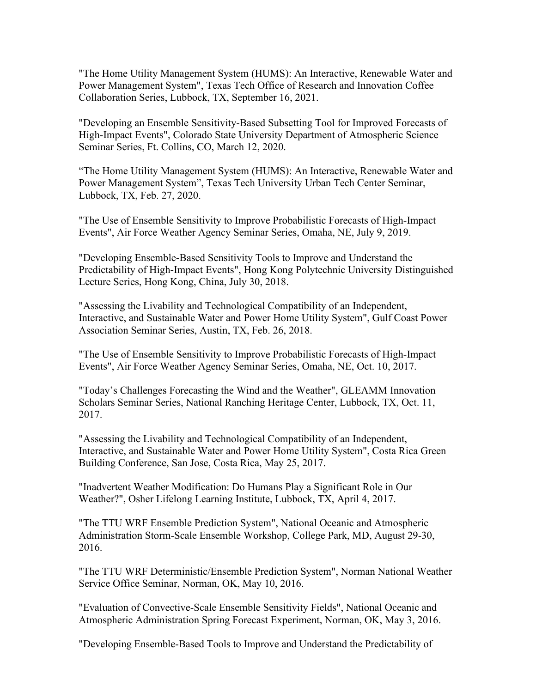"The Home Utility Management System (HUMS): An Interactive, Renewable Water and Power Management System", Texas Tech Office of Research and Innovation Coffee Collaboration Series, Lubbock, TX, September 16, 2021.

"Developing an Ensemble Sensitivity-Based Subsetting Tool for Improved Forecasts of High-Impact Events", Colorado State University Department of Atmospheric Science Seminar Series, Ft. Collins, CO, March 12, 2020.

"The Home Utility Management System (HUMS): An Interactive, Renewable Water and Power Management System", Texas Tech University Urban Tech Center Seminar, Lubbock, TX, Feb. 27, 2020.

"The Use of Ensemble Sensitivity to Improve Probabilistic Forecasts of High-Impact Events", Air Force Weather Agency Seminar Series, Omaha, NE, July 9, 2019.

"Developing Ensemble-Based Sensitivity Tools to Improve and Understand the Predictability of High-Impact Events", Hong Kong Polytechnic University Distinguished Lecture Series, Hong Kong, China, July 30, 2018.

"Assessing the Livability and Technological Compatibility of an Independent, Interactive, and Sustainable Water and Power Home Utility System", Gulf Coast Power Association Seminar Series, Austin, TX, Feb. 26, 2018.

"The Use of Ensemble Sensitivity to Improve Probabilistic Forecasts of High-Impact Events", Air Force Weather Agency Seminar Series, Omaha, NE, Oct. 10, 2017.

"Today's Challenges Forecasting the Wind and the Weather", GLEAMM Innovation Scholars Seminar Series, National Ranching Heritage Center, Lubbock, TX, Oct. 11, 2017.

"Assessing the Livability and Technological Compatibility of an Independent, Interactive, and Sustainable Water and Power Home Utility System", Costa Rica Green Building Conference, San Jose, Costa Rica, May 25, 2017.

"Inadvertent Weather Modification: Do Humans Play a Significant Role in Our Weather?", Osher Lifelong Learning Institute, Lubbock, TX, April 4, 2017.

"The TTU WRF Ensemble Prediction System", National Oceanic and Atmospheric Administration Storm-Scale Ensemble Workshop, College Park, MD, August 29-30, 2016.

"The TTU WRF Deterministic/Ensemble Prediction System", Norman National Weather Service Office Seminar, Norman, OK, May 10, 2016.

"Evaluation of Convective-Scale Ensemble Sensitivity Fields", National Oceanic and Atmospheric Administration Spring Forecast Experiment, Norman, OK, May 3, 2016.

"Developing Ensemble-Based Tools to Improve and Understand the Predictability of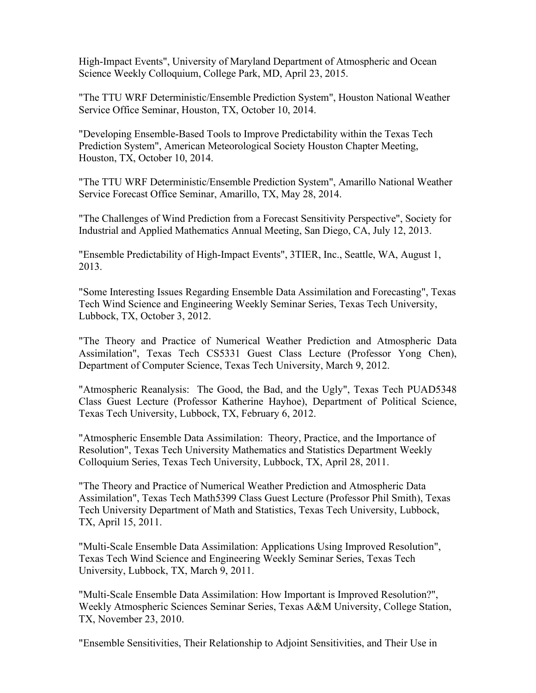High-Impact Events", University of Maryland Department of Atmospheric and Ocean Science Weekly Colloquium, College Park, MD, April 23, 2015.

"The TTU WRF Deterministic/Ensemble Prediction System", Houston National Weather Service Office Seminar, Houston, TX, October 10, 2014.

"Developing Ensemble-Based Tools to Improve Predictability within the Texas Tech Prediction System", American Meteorological Society Houston Chapter Meeting, Houston, TX, October 10, 2014.

"The TTU WRF Deterministic/Ensemble Prediction System", Amarillo National Weather Service Forecast Office Seminar, Amarillo, TX, May 28, 2014.

"The Challenges of Wind Prediction from a Forecast Sensitivity Perspective", Society for Industrial and Applied Mathematics Annual Meeting, San Diego, CA, July 12, 2013.

"Ensemble Predictability of High-Impact Events", 3TIER, Inc., Seattle, WA, August 1, 2013.

"Some Interesting Issues Regarding Ensemble Data Assimilation and Forecasting", Texas Tech Wind Science and Engineering Weekly Seminar Series, Texas Tech University, Lubbock, TX, October 3, 2012.

"The Theory and Practice of Numerical Weather Prediction and Atmospheric Data Assimilation", Texas Tech CS5331 Guest Class Lecture (Professor Yong Chen), Department of Computer Science, Texas Tech University, March 9, 2012.

"Atmospheric Reanalysis: The Good, the Bad, and the Ugly", Texas Tech PUAD5348 Class Guest Lecture (Professor Katherine Hayhoe), Department of Political Science, Texas Tech University, Lubbock, TX, February 6, 2012.

"Atmospheric Ensemble Data Assimilation: Theory, Practice, and the Importance of Resolution", Texas Tech University Mathematics and Statistics Department Weekly Colloquium Series, Texas Tech University, Lubbock, TX, April 28, 2011.

"The Theory and Practice of Numerical Weather Prediction and Atmospheric Data Assimilation", Texas Tech Math5399 Class Guest Lecture (Professor Phil Smith), Texas Tech University Department of Math and Statistics, Texas Tech University, Lubbock, TX, April 15, 2011.

"Multi-Scale Ensemble Data Assimilation: Applications Using Improved Resolution", Texas Tech Wind Science and Engineering Weekly Seminar Series, Texas Tech University, Lubbock, TX, March 9, 2011.

"Multi-Scale Ensemble Data Assimilation: How Important is Improved Resolution?", Weekly Atmospheric Sciences Seminar Series, Texas A&M University, College Station, TX, November 23, 2010.

"Ensemble Sensitivities, Their Relationship to Adjoint Sensitivities, and Their Use in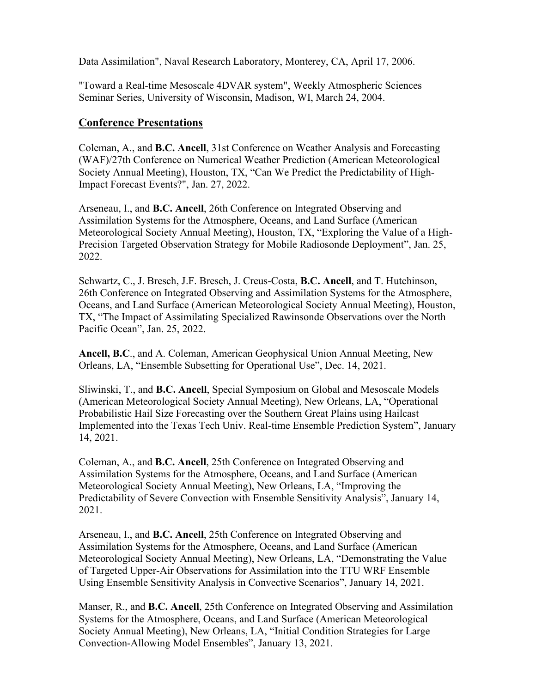Data Assimilation", Naval Research Laboratory, Monterey, CA, April 17, 2006.

"Toward a Real-time Mesoscale 4DVAR system", Weekly Atmospheric Sciences Seminar Series, University of Wisconsin, Madison, WI, March 24, 2004.

## **Conference Presentations**

Coleman, A., and **B.C. Ancell**, 31st Conference on Weather Analysis and Forecasting (WAF)/27th Conference on Numerical Weather Prediction (American Meteorological Society Annual Meeting), Houston, TX, "Can We Predict the Predictability of High-Impact Forecast Events?", Jan. 27, 2022.

Arseneau, I., and **B.C. Ancell**, 26th Conference on Integrated Observing and Assimilation Systems for the Atmosphere, Oceans, and Land Surface (American Meteorological Society Annual Meeting), Houston, TX, "Exploring the Value of a High-Precision Targeted Observation Strategy for Mobile Radiosonde Deployment", Jan. 25, 2022.

Schwartz, C., J. Bresch, J.F. Bresch, J. Creus-Costa, **B.C. Ancell**, and T. Hutchinson, 26th Conference on Integrated Observing and Assimilation Systems for the Atmosphere, Oceans, and Land Surface (American Meteorological Society Annual Meeting), Houston, TX, "The Impact of Assimilating Specialized Rawinsonde Observations over the North Pacific Ocean", Jan. 25, 2022.

**Ancell, B.C**., and A. Coleman, American Geophysical Union Annual Meeting, New Orleans, LA, ["Ensemble](https://meetingorganizer.copernicus.org/ECSS2019/ECSS2019-99.pdf) Subsetting for Operational Use", Dec. 14, 2021.

Sliwinski, T., and **B.C. Ancell**, Special Symposium on Global and Mesoscale Models (American Meteorological Society Annual Meeting), New Orleans, LA, ["Operational](https://ams.confex.com/ams/101ANNUAL/meetingapp.cgi/Paper/383780)  [Probabilistic Hail Size Forecasting over the Southern Great Plains using Hailcast](https://ams.confex.com/ams/101ANNUAL/meetingapp.cgi/Paper/383780)  [Implemented into the Texas Tech Univ. Real-time Ensemble Prediction System"](https://ams.confex.com/ams/101ANNUAL/meetingapp.cgi/Paper/383780), January 14, 2021.

Coleman, A., and **B.C. Ancell**, 25th Conference on Integrated Observing and Assimilation Systems for the Atmosphere, Oceans, and Land Surface (American Meteorological Society Annual Meeting), New Orleans, LA, ["Improving the](https://ams.confex.com/ams/101ANNUAL/meetingapp.cgi/Paper/381149)  [Predictability of Severe Convection with Ensemble Sensitivity Analysis"](https://ams.confex.com/ams/101ANNUAL/meetingapp.cgi/Paper/381149), January 14, 2021.

Arseneau, I., and **B.C. Ancell**, 25th Conference on Integrated Observing and Assimilation Systems for the Atmosphere, Oceans, and Land Surface (American Meteorological Society Annual Meeting), New Orleans, LA, ["Demonstrating the Value](https://ams.confex.com/ams/101ANNUAL/meetingapp.cgi/Paper/382496)  [of Targeted Upper-Air Observations for Assimilation into the TTU WRF Ensemble](https://ams.confex.com/ams/101ANNUAL/meetingapp.cgi/Paper/382496)  [Using Ensemble Sensitivity Analysis in Convective Scenarios"](https://ams.confex.com/ams/101ANNUAL/meetingapp.cgi/Paper/382496), January 14, 2021.

Manser, R., and **B.C. Ancell**, 25th Conference on Integrated Observing and Assimilation Systems for the Atmosphere, Oceans, and Land Surface (American Meteorological Society Annual Meeting), New Orleans, LA, ["Initial Condition Strategies for Large](https://ams.confex.com/ams/101ANNUAL/meetingapp.cgi/Paper/382742)  [Convection-Allowing Model Ensembles"](https://ams.confex.com/ams/101ANNUAL/meetingapp.cgi/Paper/382742), January 13, 2021.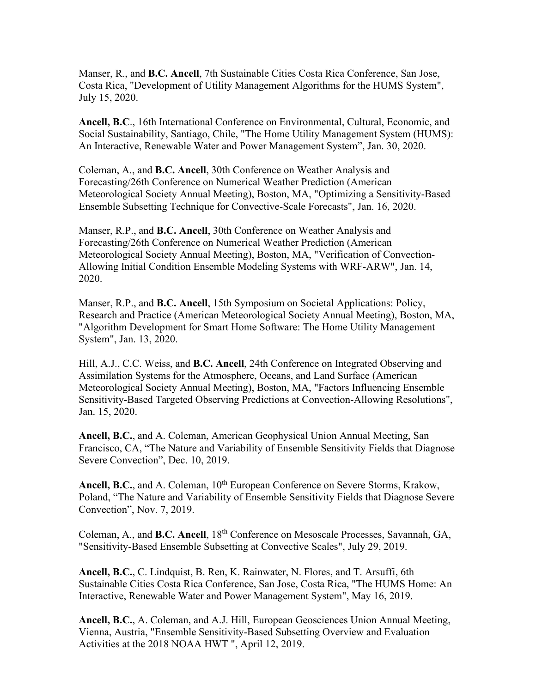Manser, R., and **B.C. Ancell**, 7th Sustainable Cities Costa Rica Conference, San Jose, Costa Rica, "Development of Utility Management Algorithms for the HUMS System", July 15, 2020.

**Ancell, B.C**., 16th International Conference on Environmental, Cultural, Economic, and Social Sustainability, Santiago, Chile, "The Home Utility Management System (HUMS): An Interactive, Renewable Water and Power Management System", Jan. 30, 2020.

Coleman, A., and **B.C. Ancell**, 30th Conference on Weather Analysis and Forecasting/26th Conference on Numerical Weather Prediction (American Meteorological Society Annual Meeting), Boston, MA, "Optimizing a Sensitivity-Based Ensemble Subsetting Technique for Convective-Scale Forecasts", Jan. 16, 2020.

Manser, R.P., and **B.C. Ancell**, 30th Conference on Weather Analysis and Forecasting/26th Conference on Numerical Weather Prediction (American Meteorological Society Annual Meeting), Boston, MA, "Verification of Convection-Allowing Initial Condition Ensemble Modeling Systems with WRF-ARW", Jan. 14, 2020.

Manser, R.P., and **B.C. Ancell**, 15th Symposium on Societal Applications: Policy, Research and Practice (American Meteorological Society Annual Meeting), Boston, MA, "Algorithm Development for Smart Home Software: The Home Utility Management System", Jan. 13, 2020.

Hill, A.J., C.C. Weiss, and **B.C. Ancell**, 24th [Conference on Integrated Observing and](https://ams.confex.com/ams/98Annual/webprogram/22IOAS.html)  [Assimilation Systems for the Atmosphere, Oceans, and Land Surface](https://ams.confex.com/ams/98Annual/webprogram/22IOAS.html) (American Meteorological Society Annual Meeting), Boston, MA, "Factors Influencing Ensemble Sensitivity-Based Targeted Observing Predictions at Convection-Allowing Resolutions", Jan. 15, 2020.

**Ancell, B.C.**, and A. Coleman, American Geophysical Union Annual Meeting, San Francisco, CA, ["The Nature and Variability of Ensemble Sensitivity Fields that Diagnose](https://meetingorganizer.copernicus.org/ECSS2019/ECSS2019-99.pdf)  [Severe Convection"](https://meetingorganizer.copernicus.org/ECSS2019/ECSS2019-99.pdf), Dec. 10, 2019.

Ancell, B.C., and A. Coleman, 10<sup>th</sup> European Conference on Severe Storms, Krakow, Poland, ["The Nature and Variability of Ensemble Sensitivity Fields that Diagnose Severe](https://meetingorganizer.copernicus.org/ECSS2019/ECSS2019-99.pdf)  [Convection"](https://meetingorganizer.copernicus.org/ECSS2019/ECSS2019-99.pdf), Nov. 7, 2019.

Coleman, A., and **B.C. Ancell**, 18th Conference on Mesoscale Processes, Savannah, GA, "Sensitivity-Based Ensemble Subsetting at Convective Scales", July 29, 2019.

**Ancell, B.C.**, C. Lindquist, B. Ren, K. Rainwater, N. Flores, and T. Arsuffi, 6th Sustainable Cities Costa Rica Conference, San Jose, Costa Rica, "The HUMS Home: An Interactive, Renewable Water and Power Management System", May 16, 2019.

**Ancell, B.C.**, A. Coleman, and A.J. Hill, European Geosciences Union Annual Meeting, Vienna, Austria, "Ensemble Sensitivity-Based Subsetting Overview and Evaluation Activities at the 2018 NOAA HWT ", April 12, 2019.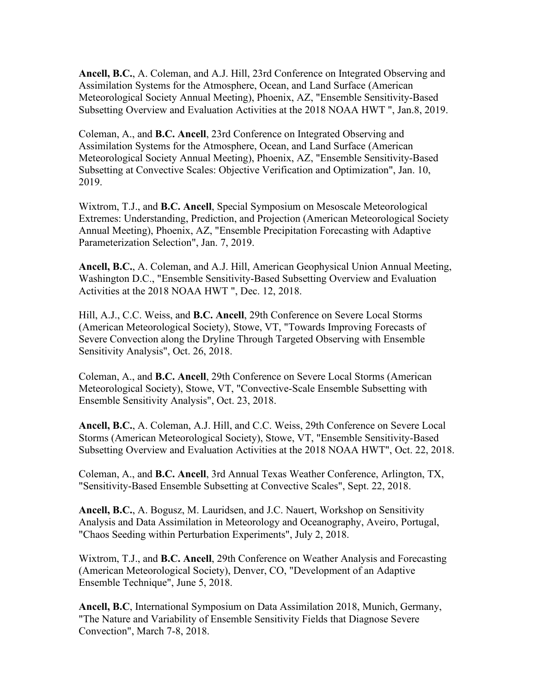**Ancell, B.C.**, A. Coleman, and A.J. Hill, 23rd Conference on Integrated Observing and Assimilation Systems for the Atmosphere, Ocean, and Land Surface (American Meteorological Society Annual Meeting), Phoenix, AZ, "Ensemble Sensitivity-Based Subsetting Overview and Evaluation Activities at the 2018 NOAA HWT ", Jan.8, 2019.

Coleman, A., and **B.C. Ancell**, 23rd Conference on Integrated Observing and Assimilation Systems for the Atmosphere, Ocean, and Land Surface (American Meteorological Society Annual Meeting), Phoenix, AZ, "Ensemble Sensitivity-Based Subsetting at Convective Scales: Objective Verification and Optimization", Jan. 10, 2019.

Wixtrom, T.J., and **B.C. Ancell**, Special Symposium on Mesoscale Meteorological Extremes: Understanding, Prediction, and Projection (American Meteorological Society Annual Meeting), Phoenix, AZ, "Ensemble Precipitation Forecasting with Adaptive Parameterization Selection", Jan. 7, 2019.

**Ancell, B.C.**, A. Coleman, and A.J. Hill, American Geophysical Union Annual Meeting, Washington D.C., "Ensemble Sensitivity-Based Subsetting Overview and Evaluation Activities at the 2018 NOAA HWT ", Dec. 12, 2018.

Hill, A.J., C.C. Weiss, and **B.C. Ancell**, 29th Conference on Severe Local Storms (American Meteorological Society), Stowe, VT, "Towards Improving Forecasts of Severe Convection along the Dryline Through Targeted Observing with Ensemble Sensitivity Analysis", Oct. 26, 2018.

Coleman, A., and **B.C. Ancell**, 29th Conference on Severe Local Storms (American Meteorological Society), Stowe, VT, "Convective-Scale Ensemble Subsetting with Ensemble Sensitivity Analysis", Oct. 23, 2018.

**Ancell, B.C.**, A. Coleman, A.J. Hill, and C.C. Weiss, 29th Conference on Severe Local Storms (American Meteorological Society), Stowe, VT, "Ensemble Sensitivity-Based Subsetting Overview and Evaluation Activities at the 2018 NOAA HWT", Oct. 22, 2018.

Coleman, A., and **B.C. Ancell**, 3rd Annual Texas Weather Conference, Arlington, TX, "Sensitivity-Based Ensemble Subsetting at Convective Scales", Sept. 22, 2018.

**Ancell, B.C.**, A. Bogusz, M. Lauridsen, and J.C. Nauert, Workshop on Sensitivity Analysis and Data Assimilation in Meteorology and Oceanography, Aveiro, Portugal, "Chaos Seeding within Perturbation Experiments", July 2, 2018.

Wixtrom, T.J., and **B.C. Ancell**, 29th Conference on Weather Analysis and Forecasting (American Meteorological Society), Denver, CO, "Development of an Adaptive Ensemble Technique", June 5, 2018.

**Ancell, B.C**, International Symposium on Data Assimilation 2018, Munich, Germany, "The Nature and Variability of Ensemble Sensitivity Fields that Diagnose Severe Convection", March 7-8, 2018.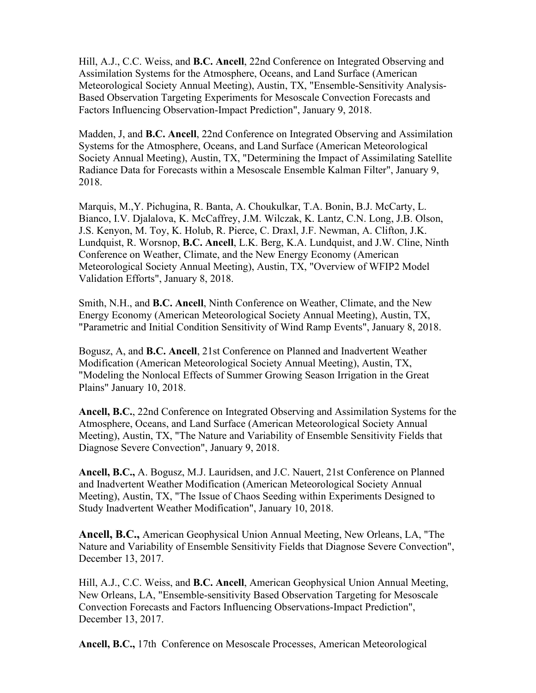Hill, A.J., C.C. Weiss, and **B.C. Ancell**, [22nd Conference on Integrated Observing and](https://ams.confex.com/ams/98Annual/webprogram/22IOAS.html)  [Assimilation Systems for the Atmosphere, Oceans, and Land Surface](https://ams.confex.com/ams/98Annual/webprogram/22IOAS.html) (American Meteorological Society Annual Meeting), Austin, TX, "Ensemble-Sensitivity Analysis-Based Observation Targeting Experiments for Mesoscale Convection Forecasts and Factors Influencing Observation-Impact Prediction", January 9, 2018.

Madden, J, and **B.C. Ancell**, [22nd Conference on Integrated Observing and Assimilation](https://ams.confex.com/ams/98Annual/webprogram/22IOAS.html)  [Systems for the Atmosphere, Oceans, and Land Surface](https://ams.confex.com/ams/98Annual/webprogram/22IOAS.html) (American Meteorological Society Annual Meeting), Austin, TX, "Determining the Impact of Assimilating Satellite Radiance Data for Forecasts within a Mesoscale Ensemble Kalman Filter", January 9, 2018.

Marquis, M.,Y. Pichugina, R. Banta, A. Choukulkar, T.A. Bonin, B.J. McCarty, L. Bianco, I.V. Djalalova, K. McCaffrey, J.M. Wilczak, K. Lantz, C.N. Long, J.B. Olson, J.S. Kenyon, M. Toy, K. Holub, R. Pierce, C. Draxl, J.F. Newman, A. Clifton, J.K. Lundquist, R. Worsnop, **B.C. Ancell**, L.K. Berg, K.A. Lundquist, and J.W. Cline, [Ninth](https://ams.confex.com/ams/98Annual/webprogram/9ENERGY.html)  [Conference on Weather, Climate, and the New Energy Economy](https://ams.confex.com/ams/98Annual/webprogram/9ENERGY.html) (American Meteorological Society Annual Meeting), Austin, TX, "Overview of WFIP2 Model Validation Efforts", January 8, 2018.

Smith, N.H., and **B.C. Ancell**, [Ninth Conference on Weather, Climate, and the New](https://ams.confex.com/ams/98Annual/webprogram/9ENERGY.html)  [Energy Economy](https://ams.confex.com/ams/98Annual/webprogram/9ENERGY.html) (American Meteorological Society Annual Meeting), Austin, TX, "Parametric and Initial Condition Sensitivity of Wind Ramp Events", January 8, 2018.

Bogusz, A, and **B.C. Ancell**, [21st Conference on Planned and Inadvertent Weather](https://ams.confex.com/ams/98Annual/webprogram/21WXMOD.html)  [Modification](https://ams.confex.com/ams/98Annual/webprogram/21WXMOD.html) (American Meteorological Society Annual Meeting), Austin, TX, "Modeling the Nonlocal Effects of Summer Growing Season Irrigation in the Great Plains" January 10, 2018.

**Ancell, B.C.**, [22nd Conference on Integrated Observing and Assimilation Systems for the](https://ams.confex.com/ams/98Annual/webprogram/22IOAS.html)  [Atmosphere, Oceans, and Land Surface](https://ams.confex.com/ams/98Annual/webprogram/22IOAS.html) (American Meteorological Society Annual Meeting), Austin, TX, "The Nature and Variability of Ensemble Sensitivity Fields that Diagnose Severe Convection", January 9, 2018.

**Ancell, B.C.,** A. Bogusz, M.J. Lauridsen, and J.C. Nauert, [21st Conference on Planned](https://ams.confex.com/ams/98Annual/webprogram/21WXMOD.html)  [and Inadvertent Weather Modification](https://ams.confex.com/ams/98Annual/webprogram/21WXMOD.html) (American Meteorological Society Annual Meeting), Austin, TX, ["The Issue of Chaos Seeding within Experiments Designed to](https://ams.confex.com/ams/98Annual/webprogram/Paper325414.html)  [Study Inadvertent Weather Modification"](https://ams.confex.com/ams/98Annual/webprogram/Paper325414.html), January 10, 2018.

**Ancell, B.C.,** American Geophysical Union Annual Meeting, New Orleans, LA, "The Nature and Variability of Ensemble Sensitivity Fields that Diagnose Severe Convection", December 13, 2017.

Hill, A.J., C.C. Weiss, and **B.C. Ancell**, American Geophysical Union Annual Meeting, New Orleans, LA, "Ensemble-sensitivity Based Observation Targeting for Mesoscale Convection Forecasts and Factors Influencing Observations-Impact Prediction", December 13, 2017.

**Ancell, B.C.,** 17th Conference on Mesoscale Processes, American Meteorological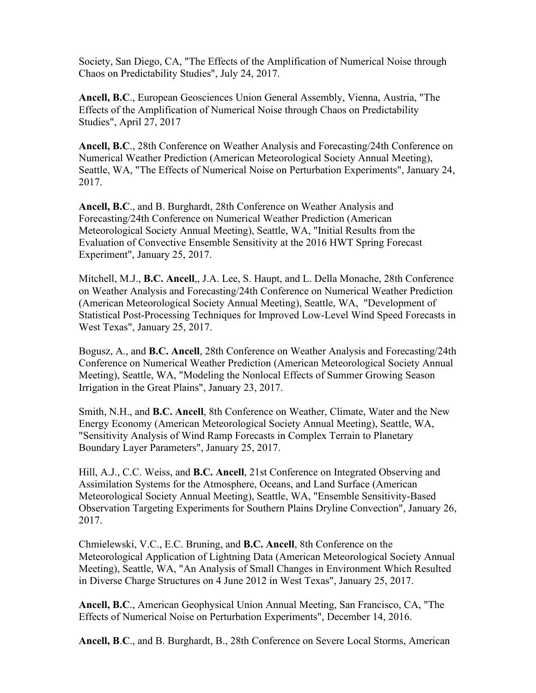Society, San Diego, CA, "The Effects of the Amplification of Numerical Noise through Chaos on Predictability Studies", July 24, 2017.

**Ancell, B.C**., European Geosciences Union General Assembly, Vienna, Austria, "The Effects of the Amplification of Numerical Noise through Chaos on Predictability Studies", April 27, 2017

**Ancell, B.C**., [28th Conference on Weather Analysis and Forecasting/24th Conference on](https://ams.confex.com/ams/97Annual/webprogram/28WAF24NWP.html)  [Numerical Weather Prediction](https://ams.confex.com/ams/97Annual/webprogram/28WAF24NWP.html) (American Meteorological Society Annual Meeting), Seattle, WA, "The Effects of Numerical Noise on Perturbation Experiments", January 24, 2017.

**Ancell, B.C**., and B. Burghardt, [28th Conference on Weather Analysis and](https://ams.confex.com/ams/97Annual/webprogram/28WAF24NWP.html)  [Forecasting/24th Conference on Numerical Weather Prediction](https://ams.confex.com/ams/97Annual/webprogram/28WAF24NWP.html) (American Meteorological Society Annual Meeting), Seattle, WA, "Initial Results from the Evaluation of Convective Ensemble Sensitivity at the 2016 HWT Spring Forecast Experiment", January 25, 2017.

Mitchell, M.J., **B.C. Ancell**,, J.A. Lee, S. Haupt, and L. Della Monache, [28th Conference](https://ams.confex.com/ams/97Annual/webprogram/28WAF24NWP.html)  [on Weather Analysis and Forecasting/24th Conference on Numerical Weather Prediction](https://ams.confex.com/ams/97Annual/webprogram/28WAF24NWP.html) (American Meteorological Society Annual Meeting), Seattle, WA, "Development of Statistical Post-Processing Techniques for Improved Low-Level Wind Speed Forecasts in West Texas", January 25, 2017.

Bogusz, A., and **B.C. Ancell**, [28th Conference on Weather Analysis and Forecasting/24th](https://ams.confex.com/ams/97Annual/webprogram/28WAF24NWP.html)  [Conference on Numerical Weather Prediction](https://ams.confex.com/ams/97Annual/webprogram/28WAF24NWP.html) (American Meteorological Society Annual Meeting), Seattle, WA, "Modeling the Nonlocal Effects of Summer Growing Season Irrigation in the Great Plains", January 23, 2017.

Smith, N.H., and **B.C. Ancell**, [8th Conference on Weather, Climate, Water and the New](https://ams.confex.com/ams/97Annual/webprogram/8ENERGY.html)  [Energy Economy](https://ams.confex.com/ams/97Annual/webprogram/8ENERGY.html) (American Meteorological Society Annual Meeting), Seattle, WA, "Sensitivity Analysis of Wind Ramp Forecasts in Complex Terrain to Planetary Boundary Layer Parameters", January 25, 2017.

Hill, A.J., C.C. Weiss, and **B.C. Ancell**, [21st Conference on Integrated Observing and](https://ams.confex.com/ams/97Annual/webprogram/21IAOS.html)  [Assimilation Systems for the Atmosphere, Oceans, and Land Surface](https://ams.confex.com/ams/97Annual/webprogram/21IAOS.html) (American Meteorological Society Annual Meeting), Seattle, WA, "Ensemble Sensitivity-Based Observation Targeting Experiments for Southern Plains Dryline Convection", January 26, 2017.

Chmielewski, V.C., E.C. Bruning, and **B.C. Ancell**, [8th Conference on the](https://ams.confex.com/ams/97Annual/webprogram/8LIGHTNING.html)  [Meteorological Application of Lightning Data](https://ams.confex.com/ams/97Annual/webprogram/8LIGHTNING.html) (American Meteorological Society Annual Meeting), Seattle, WA, "An Analysis of Small Changes in Environment Which Resulted in Diverse Charge Structures on 4 June 2012 in West Texas", January 25, 2017.

**Ancell, B.C**., American Geophysical Union Annual Meeting, San Francisco, CA, "The Effects of Numerical Noise on Perturbation Experiments", December 14, 2016.

**Ancell, B**.**C**., and B. Burghardt, B., 28th Conference on Severe Local Storms, American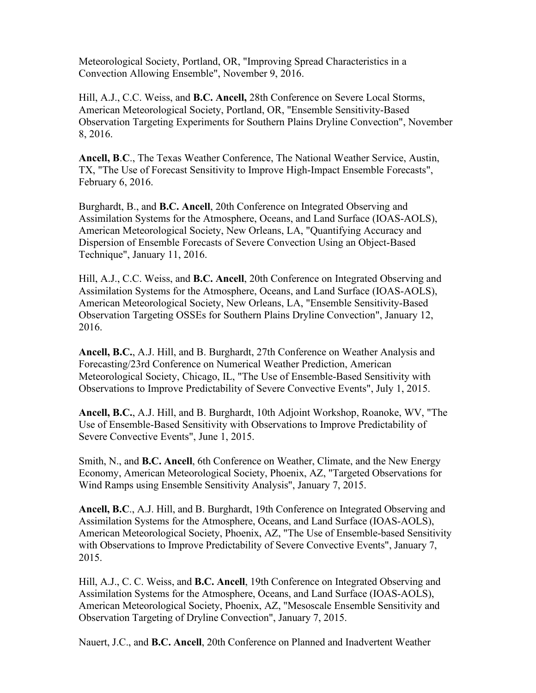Meteorological Society, Portland, OR, "Improving Spread Characteristics in a Convection Allowing Ensemble", November 9, 2016.

Hill, A.J., C.C. Weiss, and **B.C. Ancell,** 28th Conference on Severe Local Storms, American Meteorological Society, Portland, OR, "Ensemble Sensitivity-Based Observation Targeting Experiments for Southern Plains Dryline Convection", November 8, 2016.

**Ancell, B**.**C**., The Texas Weather Conference, The National Weather Service, Austin, TX, "The Use of Forecast Sensitivity to Improve High-Impact Ensemble Forecasts", February 6, 2016.

Burghardt, B., and **B.C. Ancell**, 20th Conference on Integrated Observing and Assimilation Systems for the Atmosphere, Oceans, and Land Surface (IOAS-AOLS), American Meteorological Society, New Orleans, LA, "Quantifying Accuracy and Dispersion of Ensemble Forecasts of Severe Convection Using an Object-Based Technique", January 11, 2016.

Hill, A.J., C.C. Weiss, and **B.C. Ancell**, 20th Conference on Integrated Observing and Assimilation Systems for the Atmosphere, Oceans, and Land Surface (IOAS-AOLS), American Meteorological Society, New Orleans, LA, "Ensemble Sensitivity-Based Observation Targeting OSSEs for Southern Plains Dryline Convection", January 12, 2016.

**Ancell, B.C.**, A.J. Hill, and B. Burghardt, 27th Conference on Weather Analysis and Forecasting/23rd Conference on Numerical Weather Prediction, American Meteorological Society, Chicago, IL, "The Use of Ensemble-Based Sensitivity with Observations to Improve Predictability of Severe Convective Events", July 1, 2015.

**Ancell, B.C.**, A.J. Hill, and B. Burghardt, 10th Adjoint Workshop, Roanoke, WV, "The Use of Ensemble-Based Sensitivity with Observations to Improve Predictability of Severe Convective Events", June 1, 2015.

Smith, N., and **B.C. Ancell**, 6th Conference on Weather, Climate, and the New Energy Economy, American Meteorological Society, Phoenix, AZ, "Targeted Observations for Wind Ramps using Ensemble Sensitivity Analysis", January 7, 2015.

**Ancell, B.C**., A.J. Hill, and B. Burghardt, 19th Conference on Integrated Observing and Assimilation Systems for the Atmosphere, Oceans, and Land Surface (IOAS-AOLS), American Meteorological Society, Phoenix, AZ, "The Use of Ensemble-based Sensitivity with Observations to Improve Predictability of Severe Convective Events", January 7, 2015.

Hill, A.J., C. C. Weiss, and **B.C. Ancell**, 19th Conference on Integrated Observing and Assimilation Systems for the Atmosphere, Oceans, and Land Surface (IOAS-AOLS), American Meteorological Society, Phoenix, AZ, "Mesoscale Ensemble Sensitivity and Observation Targeting of Dryline Convection", January 7, 2015.

Nauert, J.C., and **B.C. Ancell**, 20th Conference on Planned and Inadvertent Weather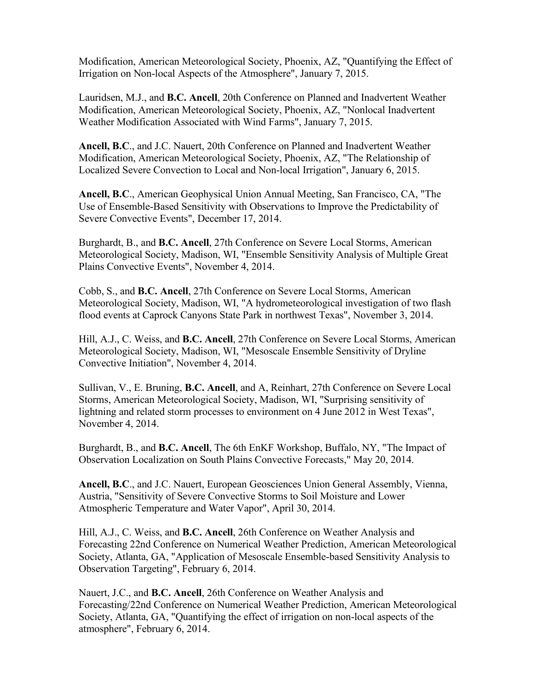Modification, American Meteorological Society, Phoenix, AZ, "Quantifying the Effect of Irrigation on Non-local Aspects of the Atmosphere", January 7, 2015.

Lauridsen, M.J., and **B.C. Ancell**, 20th Conference on Planned and Inadvertent Weather Modification, American Meteorological Society, Phoenix, AZ, "Nonlocal Inadvertent Weather Modification Associated with Wind Farms", January 7, 2015.

**Ancell, B.C**., and J.C. Nauert, 20th Conference on Planned and Inadvertent Weather Modification, American Meteorological Society, Phoenix, AZ, "The Relationship of Localized Severe Convection to Local and Non-local Irrigation", January 6, 2015.

**Ancell, B.C**., American Geophysical Union Annual Meeting, San Francisco, CA, "The Use of Ensemble-Based Sensitivity with Observations to Improve the Predictability of Severe Convective Events", December 17, 2014.

Burghardt, B., and **B.C. Ancell**, 27th Conference on Severe Local Storms, American Meteorological Society, Madison, WI, "Ensemble Sensitivity Analysis of Multiple Great Plains Convective Events", November 4, 2014.

Cobb, S., and **B.C. Ancell**, 27th Conference on Severe Local Storms, American Meteorological Society, Madison, WI, "A hydrometeorological investigation of two flash flood events at Caprock Canyons State Park in northwest Texas", November 3, 2014.

Hill, A.J., C. Weiss, and **B.C. Ancell**, 27th Conference on Severe Local Storms, American Meteorological Society, Madison, WI, "Mesoscale Ensemble Sensitivity of Dryline Convective Initiation", November 4, 2014.

Sullivan, V., E. Bruning, **B.C. Ancell**, and A, Reinhart, 27th Conference on Severe Local Storms, American Meteorological Society, Madison, WI, "Surprising sensitivity of lightning and related storm processes to environment on 4 June 2012 in West Texas", November 4, 2014.

Burghardt, B., and **B.C. Ancell**, The 6th EnKF Workshop, Buffalo, NY, "The Impact of Observation Localization on South Plains Convective Forecasts," May 20, 2014.

**Ancell, B.C**., and J.C. Nauert, European Geosciences Union General Assembly, Vienna, Austria, "Sensitivity of Severe Convective Storms to Soil Moisture and Lower Atmospheric Temperature and Water Vapor", April 30, 2014.

Hill, A.J., C. Weiss, and **B.C. Ancell**, 26th Conference on Weather Analysis and Forecasting 22nd Conference on Numerical Weather Prediction, American Meteorological Society, Atlanta, GA, "Application of Mesoscale Ensemble-based Sensitivity Analysis to Observation Targeting", February 6, 2014.

Nauert, J.C., and **B.C. Ancell**, 26th Conference on Weather Analysis and Forecasting/22nd Conference on Numerical Weather Prediction, American Meteorological Society, Atlanta, GA, "Quantifying the effect of irrigation on non-local aspects of the atmosphere", February 6, 2014.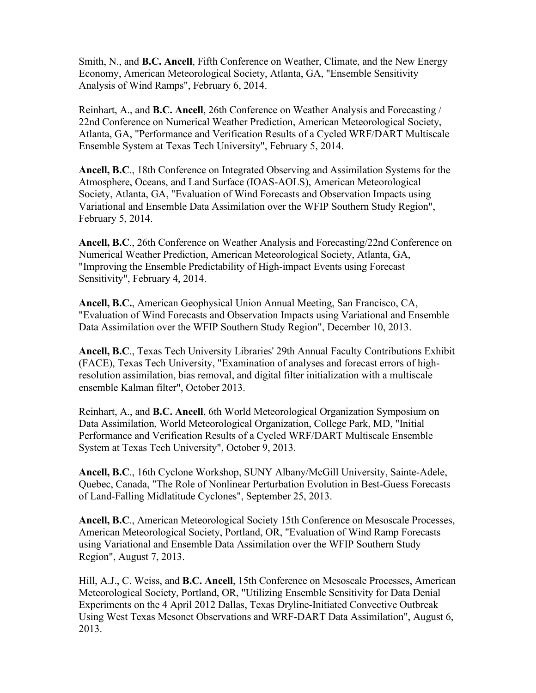Smith, N., and **B.C. Ancell**, Fifth Conference on Weather, Climate, and the New Energy Economy, American Meteorological Society, Atlanta, GA, "Ensemble Sensitivity Analysis of Wind Ramps", February 6, 2014.

Reinhart, A., and **B.C. Ancell**, 26th Conference on Weather Analysis and Forecasting / 22nd Conference on Numerical Weather Prediction, American Meteorological Society, Atlanta, GA, "Performance and Verification Results of a Cycled WRF/DART Multiscale Ensemble System at Texas Tech University", February 5, 2014.

**Ancell, B.C**., 18th Conference on Integrated Observing and Assimilation Systems for the Atmosphere, Oceans, and Land Surface (IOAS-AOLS), American Meteorological Society, Atlanta, GA, "Evaluation of Wind Forecasts and Observation Impacts using Variational and Ensemble Data Assimilation over the WFIP Southern Study Region", February 5, 2014.

**Ancell, B.C**., 26th Conference on Weather Analysis and Forecasting/22nd Conference on Numerical Weather Prediction, American Meteorological Society, Atlanta, GA, "Improving the Ensemble Predictability of High-impact Events using Forecast Sensitivity", February 4, 2014.

**Ancell, B.C.**, American Geophysical Union Annual Meeting, San Francisco, CA, "Evaluation of Wind Forecasts and Observation Impacts using Variational and Ensemble Data Assimilation over the WFIP Southern Study Region", December 10, 2013.

**Ancell, B.C**., Texas Tech University Libraries' 29th Annual Faculty Contributions Exhibit (FACE), Texas Tech University, "Examination of analyses and forecast errors of highresolution assimilation, bias removal, and digital filter initialization with a multiscale ensemble Kalman filter", October 2013.

Reinhart, A., and **B.C. Ancell**, 6th World Meteorological Organization Symposium on Data Assimilation, World Meteorological Organization, College Park, MD, "Initial Performance and Verification Results of a Cycled WRF/DART Multiscale Ensemble System at Texas Tech University", October 9, 2013.

**Ancell, B.C**., 16th Cyclone Workshop, SUNY Albany/McGill University, Sainte-Adele, Quebec, Canada, "The Role of Nonlinear Perturbation Evolution in Best-Guess Forecasts of Land-Falling Midlatitude Cyclones", September 25, 2013.

**Ancell, B.C**., American Meteorological Society 15th Conference on Mesoscale Processes, American Meteorological Society, Portland, OR, "Evaluation of Wind Ramp Forecasts using Variational and Ensemble Data Assimilation over the WFIP Southern Study Region", August 7, 2013.

Hill, A.J., C. Weiss, and **B.C. Ancell**, 15th Conference on Mesoscale Processes, American Meteorological Society, Portland, OR, "Utilizing Ensemble Sensitivity for Data Denial Experiments on the 4 April 2012 Dallas, Texas Dryline-Initiated Convective Outbreak Using West Texas Mesonet Observations and WRF-DART Data Assimilation", August 6, 2013.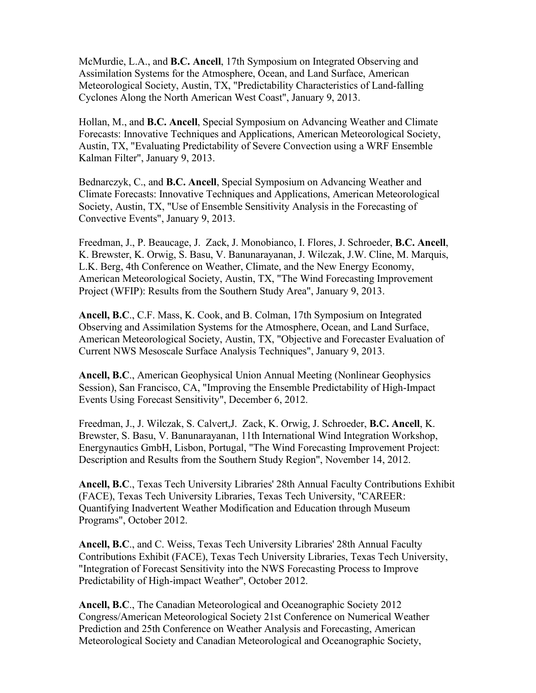McMurdie, L.A., and **B.C. Ancell**, 17th Symposium on Integrated Observing and Assimilation Systems for the Atmosphere, Ocean, and Land Surface, American Meteorological Society, Austin, TX, "Predictability Characteristics of Land-falling Cyclones Along the North American West Coast", January 9, 2013.

Hollan, M., and **B.C. Ancell**, Special Symposium on Advancing Weather and Climate Forecasts: Innovative Techniques and Applications, American Meteorological Society, Austin, TX, "Evaluating Predictability of Severe Convection using a WRF Ensemble Kalman Filter", January 9, 2013.

Bednarczyk, C., and **B.C. Ancell**, Special Symposium on Advancing Weather and Climate Forecasts: Innovative Techniques and Applications, American Meteorological Society, Austin, TX, "Use of Ensemble Sensitivity Analysis in the Forecasting of Convective Events", January 9, 2013.

Freedman, J., P. Beaucage, J. Zack, J. Monobianco, I. Flores, J. Schroeder, **B.C. Ancell**, K. Brewster, K. Orwig, S. Basu, V. Banunarayanan, J. Wilczak, J.W. Cline, M. Marquis, L.K. Berg, 4th Conference on Weather, Climate, and the New Energy Economy, American Meteorological Society, Austin, TX, "The Wind Forecasting Improvement Project (WFIP): Results from the Southern Study Area", January 9, 2013.

**Ancell, B.C**., C.F. Mass, K. Cook, and B. Colman, 17th Symposium on Integrated Observing and Assimilation Systems for the Atmosphere, Ocean, and Land Surface, American Meteorological Society, Austin, TX, "Objective and Forecaster Evaluation of Current NWS Mesoscale Surface Analysis Techniques", January 9, 2013.

**Ancell, B.C**., American Geophysical Union Annual Meeting (Nonlinear Geophysics Session), San Francisco, CA, "Improving the Ensemble Predictability of High-Impact Events Using Forecast Sensitivity", December 6, 2012.

Freedman, J., J. Wilczak, S. Calvert,J. Zack, K. Orwig, J. Schroeder, **B.C. Ancell**, K. Brewster, S. Basu, V. Banunarayanan, 11th International Wind Integration Workshop, Energynautics GmbH, Lisbon, Portugal, "The Wind Forecasting Improvement Project: Description and Results from the Southern Study Region", November 14, 2012.

**Ancell, B.C**., Texas Tech University Libraries' 28th Annual Faculty Contributions Exhibit (FACE), Texas Tech University Libraries, Texas Tech University, "CAREER: Quantifying Inadvertent Weather Modification and Education through Museum Programs", October 2012.

**Ancell, B.C**., and C. Weiss, Texas Tech University Libraries' 28th Annual Faculty Contributions Exhibit (FACE), Texas Tech University Libraries, Texas Tech University, "Integration of Forecast Sensitivity into the NWS Forecasting Process to Improve Predictability of High-impact Weather", October 2012.

**Ancell, B.C**., The Canadian Meteorological and Oceanographic Society 2012 Congress/American Meteorological Society 21st Conference on Numerical Weather Prediction and 25th Conference on Weather Analysis and Forecasting, American Meteorological Society and Canadian Meteorological and Oceanographic Society,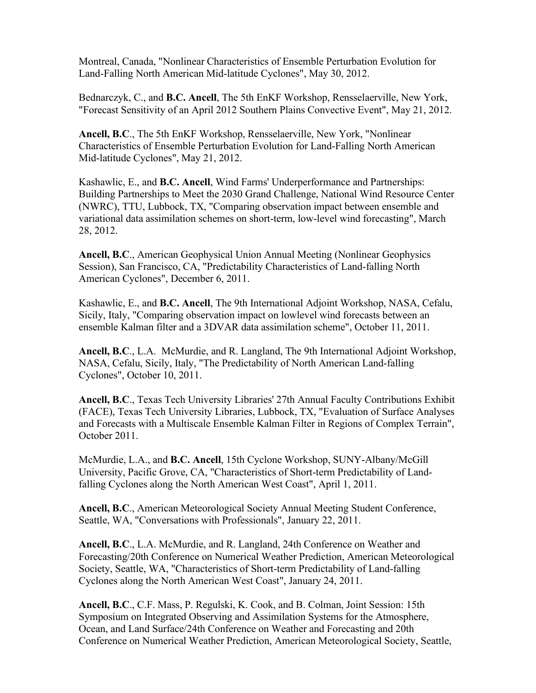Montreal, Canada, "Nonlinear Characteristics of Ensemble Perturbation Evolution for Land-Falling North American Mid-latitude Cyclones", May 30, 2012.

Bednarczyk, C., and **B.C. Ancell**, The 5th EnKF Workshop, Rensselaerville, New York, "Forecast Sensitivity of an April 2012 Southern Plains Convective Event", May 21, 2012.

**Ancell, B.C**., The 5th EnKF Workshop, Rensselaerville, New York, "Nonlinear Characteristics of Ensemble Perturbation Evolution for Land-Falling North American Mid-latitude Cyclones", May 21, 2012.

Kashawlic, E., and **B.C. Ancell**, Wind Farms' Underperformance and Partnerships: Building Partnerships to Meet the 2030 Grand Challenge, National Wind Resource Center (NWRC), TTU, Lubbock, TX, "Comparing observation impact between ensemble and variational data assimilation schemes on short-term, low-level wind forecasting", March 28, 2012.

**Ancell, B.C**., American Geophysical Union Annual Meeting (Nonlinear Geophysics Session), San Francisco, CA, "Predictability Characteristics of Land-falling North American Cyclones", December 6, 2011.

Kashawlic, E., and **B.C. Ancell**, The 9th International Adjoint Workshop, NASA, Cefalu, Sicily, Italy, "Comparing observation impact on lowlevel wind forecasts between an ensemble Kalman filter and a 3DVAR data assimilation scheme", October 11, 2011.

**Ancell, B.C**., L.A. McMurdie, and R. Langland, The 9th International Adjoint Workshop, NASA, Cefalu, Sicily, Italy, "The Predictability of North American Land-falling Cyclones", October 10, 2011.

**Ancell, B.C**., Texas Tech University Libraries' 27th Annual Faculty Contributions Exhibit (FACE), Texas Tech University Libraries, Lubbock, TX, "Evaluation of Surface Analyses and Forecasts with a Multiscale Ensemble Kalman Filter in Regions of Complex Terrain", October 2011.

McMurdie, L.A., and **B.C. Ancell**, 15th Cyclone Workshop, SUNY-Albany/McGill University, Pacific Grove, CA, "Characteristics of Short-term Predictability of Landfalling Cyclones along the North American West Coast", April 1, 2011.

**Ancell, B.C**., American Meteorological Society Annual Meeting Student Conference, Seattle, WA, "Conversations with Professionals", January 22, 2011.

**Ancell, B.C**., L.A. McMurdie, and R. Langland, 24th Conference on Weather and Forecasting/20th Conference on Numerical Weather Prediction, American Meteorological Society, Seattle, WA, "Characteristics of Short-term Predictability of Land-falling Cyclones along the North American West Coast", January 24, 2011.

**Ancell, B.C**., C.F. Mass, P. Regulski, K. Cook, and B. Colman, Joint Session: 15th Symposium on Integrated Observing and Assimilation Systems for the Atmosphere, Ocean, and Land Surface/24th Conference on Weather and Forecasting and 20th Conference on Numerical Weather Prediction, American Meteorological Society, Seattle,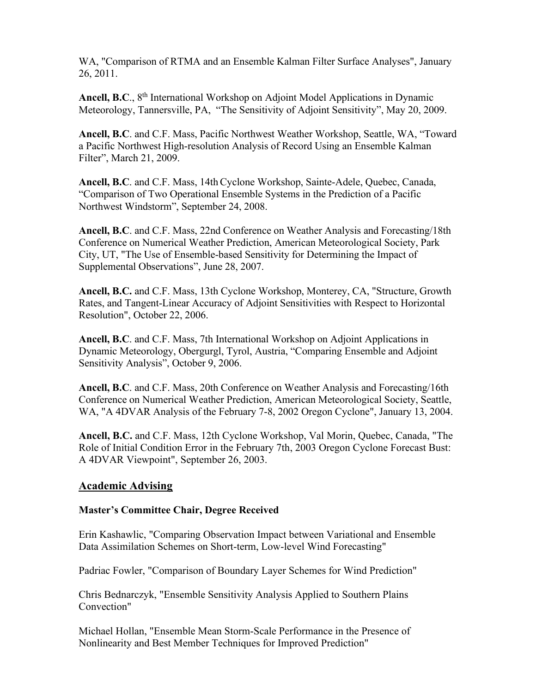WA, "Comparison of RTMA and an Ensemble Kalman Filter Surface Analyses", January 26, 2011.

Ancell, B.C., 8<sup>th</sup> International Workshop on Adjoint Model Applications in Dynamic Meteorology, Tannersville, PA, "The Sensitivity of Adjoint Sensitivity", May 20, 2009.

**Ancell, B.C**. and C.F. Mass, Pacific Northwest Weather Workshop, Seattle, WA, "Toward a Pacific Northwest High-resolution Analysis of Record Using an Ensemble Kalman Filter", March 21, 2009.

**Ancell, B.C.** and C.F. Mass, 14th Cyclone Workshop, Sainte-Adele, Quebec, Canada, "Comparison of Two Operational Ensemble Systems in the Prediction of a Pacific Northwest Windstorm", September 24, 2008.

**Ancell, B.C**. and C.F. Mass, 22nd Conference on Weather Analysis and Forecasting/18th Conference on Numerical Weather Prediction, American Meteorological Society, Park City, UT, "The Use of Ensemble-based Sensitivity for Determining the Impact of Supplemental Observations", June 28, 2007.

**Ancell, B.C.** and C.F. Mass, 13th Cyclone Workshop, Monterey, CA, "Structure, Growth Rates, and Tangent-Linear Accuracy of Adjoint Sensitivities with Respect to Horizontal Resolution", October 22, 2006.

**Ancell, B.C**. and C.F. Mass, 7th International Workshop on Adjoint Applications in Dynamic Meteorology, Obergurgl, Tyrol, Austria, "Comparing Ensemble and Adjoint Sensitivity Analysis", October 9, 2006.

**Ancell, B.C**. and C.F. Mass, 20th Conference on Weather Analysis and Forecasting/16th Conference on Numerical Weather Prediction, American Meteorological Society, Seattle, WA, "A 4DVAR Analysis of the February 7-8, 2002 Oregon Cyclone", January 13, 2004.

**Ancell, B.C.** and C.F. Mass, 12th Cyclone Workshop, Val Morin, Quebec, Canada, "The Role of Initial Condition Error in the February 7th, 2003 Oregon Cyclone Forecast Bust: A 4DVAR Viewpoint", September 26, 2003.

## **Academic Advising**

## **Master's Committee Chair, Degree Received**

Erin Kashawlic, "Comparing Observation Impact between Variational and Ensemble Data Assimilation Schemes on Short-term, Low-level Wind Forecasting"

Padriac Fowler, "Comparison of Boundary Layer Schemes for Wind Prediction"

Chris Bednarczyk, "Ensemble Sensitivity Analysis Applied to Southern Plains Convection"

Michael Hollan, "Ensemble Mean Storm-Scale Performance in the Presence of Nonlinearity and Best Member Techniques for Improved Prediction"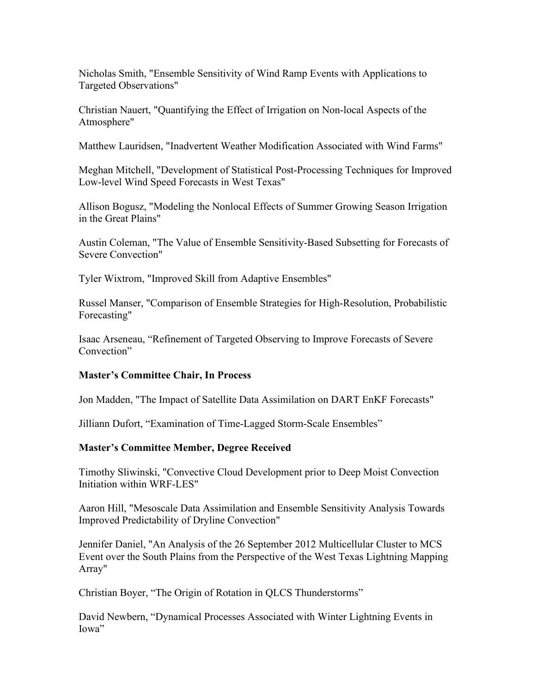Nicholas Smith, "Ensemble Sensitivity of Wind Ramp Events with Applications to Targeted Observations"

Christian Nauert, "Quantifying the Effect of Irrigation on Non-local Aspects of the Atmosphere"

Matthew Lauridsen, "Inadvertent Weather Modification Associated with Wind Farms"

Meghan Mitchell, "Development of Statistical Post-Processing Techniques for Improved Low-level Wind Speed Forecasts in West Texas"

Allison Bogusz, "Modeling the Nonlocal Effects of Summer Growing Season Irrigation in the Great Plains"

Austin Coleman, "The Value of Ensemble Sensitivity-Based Subsetting for Forecasts of Severe Convection"

Tyler Wixtrom, "Improved Skill from Adaptive Ensembles"

Russel Manser, "Comparison of Ensemble Strategies for High-Resolution, Probabilistic Forecasting"

Isaac Arseneau, "Refinement of Targeted Observing to Improve Forecasts of Severe Convection"

### **Master's Committee Chair, In Process**

Jon Madden, "The Impact of Satellite Data Assimilation on DART EnKF Forecasts"

Jilliann Dufort, "Examination of Time-Lagged Storm-Scale Ensembles"

### **Master's Committee Member, Degree Received**

Timothy Sliwinski, "Convective Cloud Development prior to Deep Moist Convection Initiation within WRF-LES"

Aaron Hill, "Mesoscale Data Assimilation and Ensemble Sensitivity Analysis Towards Improved Predictability of Dryline Convection"

Jennifer Daniel, "An Analysis of the 26 September 2012 Multicellular Cluster to MCS Event over the South Plains from the Perspective of the West Texas Lightning Mapping Array"

Christian Boyer, "The Origin of Rotation in QLCS Thunderstorms"

David Newbern, "Dynamical Processes Associated with Winter Lightning Events in Iowa"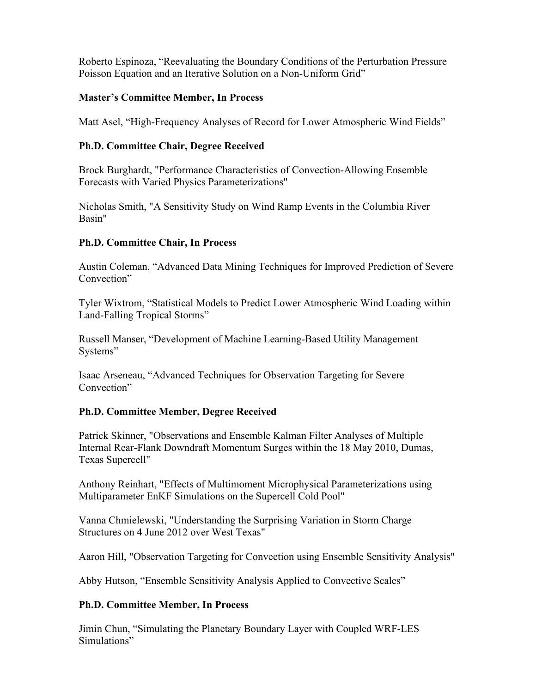Roberto Espinoza, "Reevaluating the Boundary Conditions of the Perturbation Pressure Poisson Equation and an Iterative Solution on a Non-Uniform Grid"

### **Master's Committee Member, In Process**

Matt Asel, "High-Frequency Analyses of Record for Lower Atmospheric Wind Fields"

### **Ph.D. Committee Chair, Degree Received**

Brock Burghardt, "Performance Characteristics of Convection-Allowing Ensemble Forecasts with Varied Physics Parameterizations"

Nicholas Smith, "A Sensitivity Study on Wind Ramp Events in the Columbia River Basin"

### **Ph.D. Committee Chair, In Process**

Austin Coleman, "Advanced Data Mining Techniques for Improved Prediction of Severe Convection"

Tyler Wixtrom, "Statistical Models to Predict Lower Atmospheric Wind Loading within Land-Falling Tropical Storms"

Russell Manser, "Development of Machine Learning-Based Utility Management Systems"

Isaac Arseneau, "Advanced Techniques for Observation Targeting for Severe Convection"

## **Ph.D. Committee Member, Degree Received**

Patrick Skinner, "Observations and Ensemble Kalman Filter Analyses of Multiple Internal Rear-Flank Downdraft Momentum Surges within the 18 May 2010, Dumas, Texas Supercell"

Anthony Reinhart, "Effects of Multimoment Microphysical Parameterizations using Multiparameter EnKF Simulations on the Supercell Cold Pool"

Vanna Chmielewski, "Understanding the Surprising Variation in Storm Charge Structures on 4 June 2012 over West Texas"

Aaron Hill, "Observation Targeting for Convection using Ensemble Sensitivity Analysis"

Abby Hutson, "Ensemble Sensitivity Analysis Applied to Convective Scales"

### **Ph.D. Committee Member, In Process**

Jimin Chun, "Simulating the Planetary Boundary Layer with Coupled WRF-LES Simulations"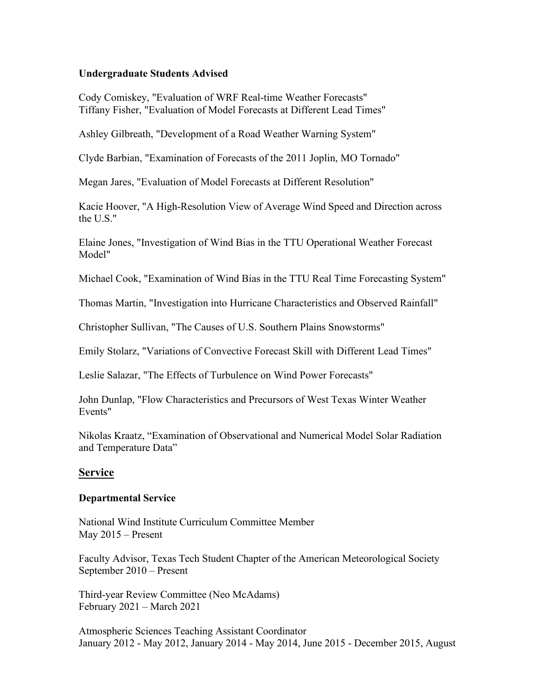### **Undergraduate Students Advised**

Cody Comiskey, "Evaluation of WRF Real-time Weather Forecasts" Tiffany Fisher, "Evaluation of Model Forecasts at Different Lead Times"

Ashley Gilbreath, "Development of a Road Weather Warning System"

Clyde Barbian, "Examination of Forecasts of the 2011 Joplin, MO Tornado"

Megan Jares, "Evaluation of Model Forecasts at Different Resolution"

Kacie Hoover, "A High-Resolution View of Average Wind Speed and Direction across the U.S."

Elaine Jones, "Investigation of Wind Bias in the TTU Operational Weather Forecast Model"

Michael Cook, "Examination of Wind Bias in the TTU Real Time Forecasting System"

Thomas Martin, "Investigation into Hurricane Characteristics and Observed Rainfall"

Christopher Sullivan, "The Causes of U.S. Southern Plains Snowstorms"

Emily Stolarz, "Variations of Convective Forecast Skill with Different Lead Times"

Leslie Salazar, "The Effects of Turbulence on Wind Power Forecasts"

John Dunlap, "Flow Characteristics and Precursors of West Texas Winter Weather Events"

Nikolas Kraatz, "Examination of Observational and Numerical Model Solar Radiation and Temperature Data"

### **Service**

### **Departmental Service**

National Wind Institute Curriculum Committee Member May 2015 – Present

Faculty Advisor, Texas Tech Student Chapter of the American Meteorological Society September 2010 – Present

Third-year Review Committee (Neo McAdams) February 2021 – March 2021

Atmospheric Sciences Teaching Assistant Coordinator January 2012 - May 2012, January 2014 - May 2014, June 2015 - December 2015, August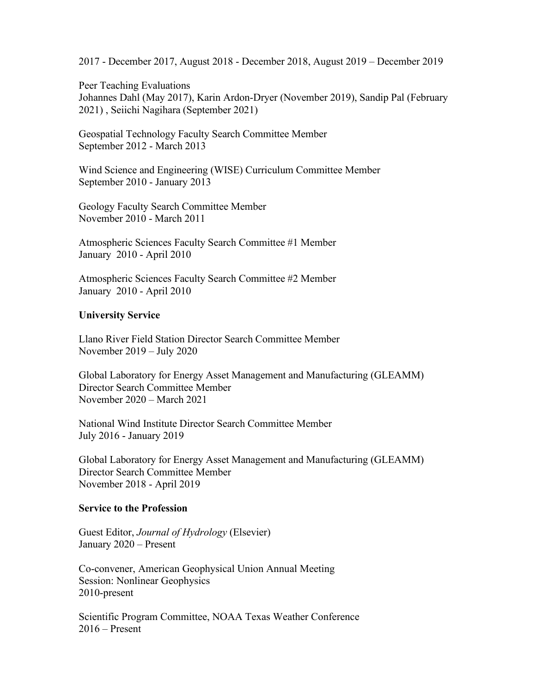2017 - December 2017, August 2018 - December 2018, August 2019 – December 2019

Peer Teaching Evaluations Johannes Dahl (May 2017), Karin Ardon-Dryer (November 2019), Sandip Pal (February 2021) , Seiichi Nagihara (September 2021)

Geospatial Technology Faculty Search Committee Member September 2012 - March 2013

Wind Science and Engineering (WISE) Curriculum Committee Member September 2010 - January 2013

Geology Faculty Search Committee Member November 2010 - March 2011

Atmospheric Sciences Faculty Search Committee #1 Member January 2010 - April 2010

Atmospheric Sciences Faculty Search Committee #2 Member January 2010 - April 2010

#### **University Service**

Llano River Field Station Director Search Committee Member November 2019 – July 2020

Global Laboratory for Energy Asset Management and Manufacturing (GLEAMM) Director Search Committee Member November 2020 – March 2021

National Wind Institute Director Search Committee Member July 2016 - January 2019

Global Laboratory for Energy Asset Management and Manufacturing (GLEAMM) Director Search Committee Member November 2018 - April 2019

#### **Service to the Profession**

Guest Editor, *Journal of Hydrology* (Elsevier) January 2020 – Present

Co-convener, American Geophysical Union Annual Meeting Session: Nonlinear Geophysics 2010-present

Scientific Program Committee, NOAA Texas Weather Conference 2016 – Present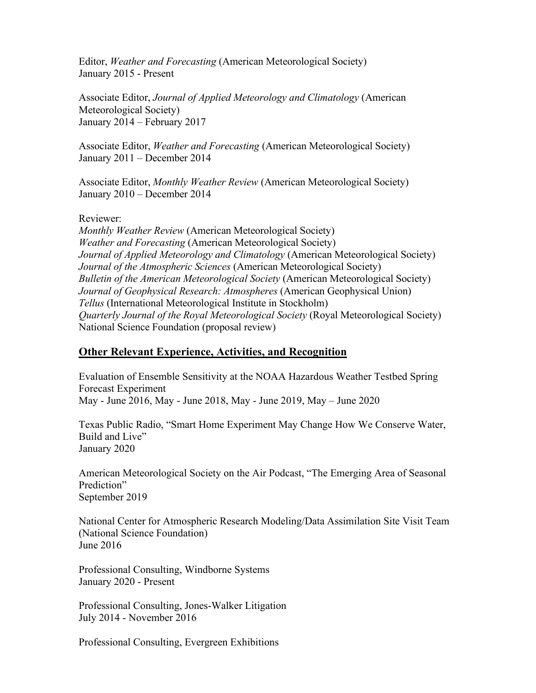Editor, *Weather and Forecasting* (American Meteorological Society) January 2015 - Present

Associate Editor, *Journal of Applied Meteorology and Climatology* (American Meteorological Society) January 2014 – February 2017

Associate Editor, *Weather and Forecasting* (American Meteorological Society) January 2011 – December 2014

Associate Editor, *Monthly Weather Review* (American Meteorological Society) January 2010 – December 2014

Reviewer:

*Monthly Weather Review* (American Meteorological Society) *Weather and Forecasting* (American Meteorological Society) *Journal of Applied Meteorology and Climatology* (American Meteorological Society) *Journal of the Atmospheric Sciences* (American Meteorological Society) *Bulletin of the American Meteorological Society* (American Meteorological Society) *Journal of Geophysical Research: Atmospheres* (American Geophysical Union) *Tellus* (International Meteorological Institute in Stockholm) *Quarterly Journal of the Royal Meteorological Society* (Royal Meteorological Society) National Science Foundation (proposal review)

## **Other Relevant Experience, Activities, and Recognition**

Evaluation of Ensemble Sensitivity at the NOAA Hazardous Weather Testbed Spring Forecast Experiment May - June 2016, May - June 2018, May - June 2019, May – June 2020

Texas Public Radio, "Smart Home Experiment May Change How We Conserve Water, Build and Live" January 2020

American Meteorological Society on the Air Podcast, "The Emerging Area of Seasonal Prediction" September 2019

National Center for Atmospheric Research Modeling/Data Assimilation Site Visit Team (National Science Foundation) June 2016

Professional Consulting, Windborne Systems January 2020 - Present

Professional Consulting, Jones-Walker Litigation July 2014 - November 2016

Professional Consulting, Evergreen Exhibitions